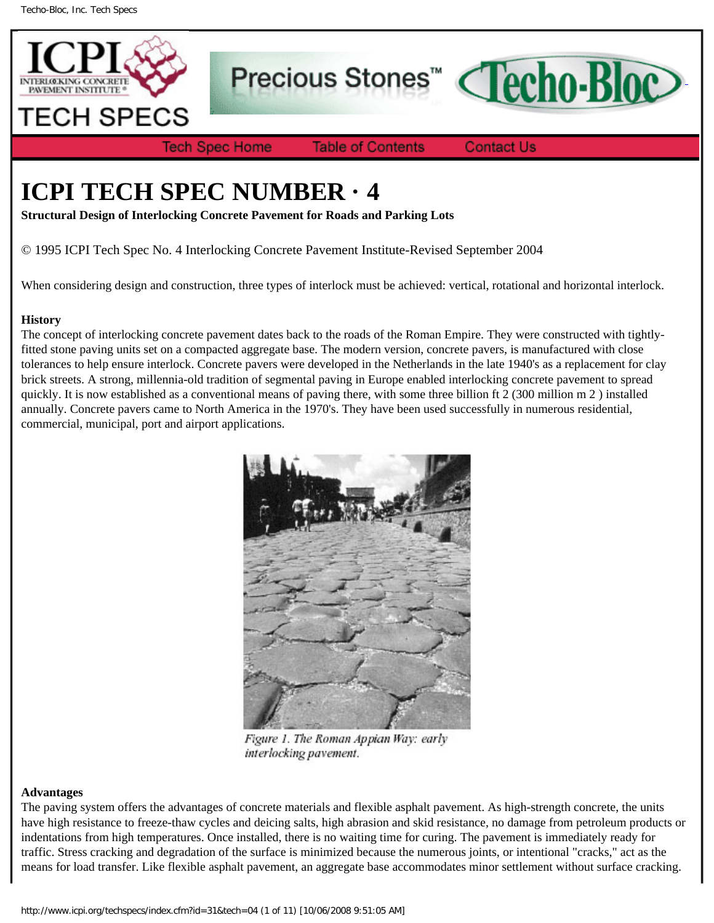

Precious Stones<sup>™</sup>



**Tech Spec Home** 

**Table of Contents** 

**Contact Us** 

# **ICPI TECH SPEC NUMBER · 4**

**Structural Design of Interlocking Concrete Pavement for Roads and Parking Lots**

© 1995 ICPI Tech Spec No. 4 Interlocking Concrete Pavement Institute-Revised September 2004

When considering design and construction, three types of interlock must be achieved: vertical, rotational and horizontal interlock.

## **History**

The concept of interlocking concrete pavement dates back to the roads of the Roman Empire. They were constructed with tightlyfitted stone paving units set on a compacted aggregate base. The modern version, concrete pavers, is manufactured with close tolerances to help ensure interlock. Concrete pavers were developed in the Netherlands in the late 1940's as a replacement for clay brick streets. A strong, millennia-old tradition of segmental paving in Europe enabled interlocking concrete pavement to spread quickly. It is now established as a conventional means of paving there, with some three billion ft 2 (300 million m 2 ) installed annually. Concrete pavers came to North America in the 1970's. They have been used successfully in numerous residential, commercial, municipal, port and airport applications.



Figure 1. The Roman Appian Way: early interlocking pavement.

### **Advantages**

The paving system offers the advantages of concrete materials and flexible asphalt pavement. As high-strength concrete, the units have high resistance to freeze-thaw cycles and deicing salts, high abrasion and skid resistance, no damage from petroleum products or indentations from high temperatures. Once installed, there is no waiting time for curing. The pavement is immediately ready for traffic. Stress cracking and degradation of the surface is minimized because the numerous joints, or intentional "cracks," act as the means for load transfer. Like flexible asphalt pavement, an aggregate base accommodates minor settlement without surface cracking.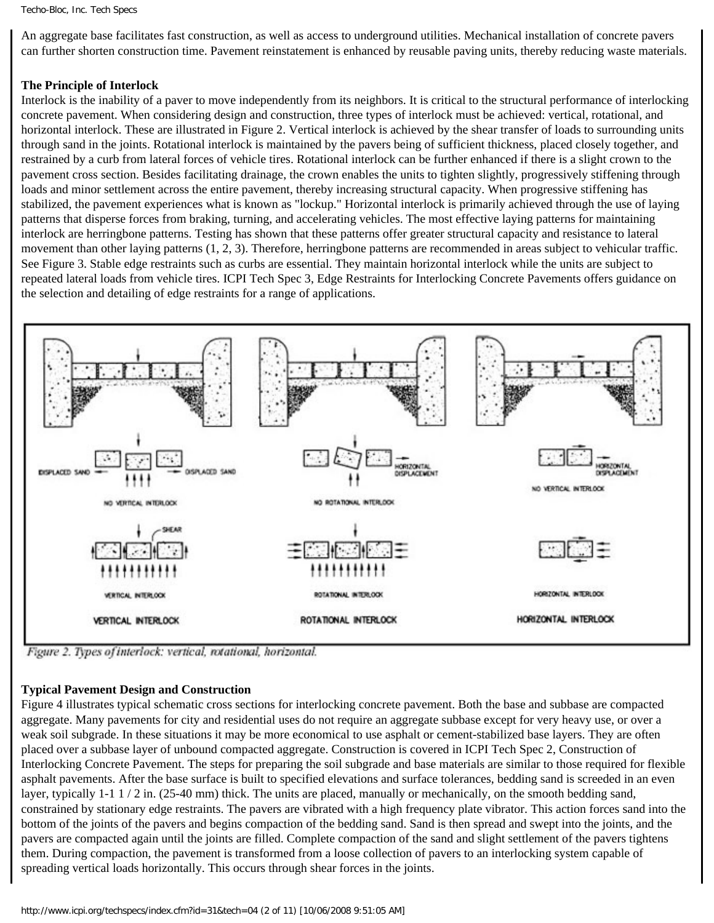#### Techo-Bloc, Inc. Tech Specs

An aggregate base facilitates fast construction, as well as access to underground utilities. Mechanical installation of concrete pavers can further shorten construction time. Pavement reinstatement is enhanced by reusable paving units, thereby reducing waste materials.

## **The Principle of Interlock**

Interlock is the inability of a paver to move independently from its neighbors. It is critical to the structural performance of interlocking concrete pavement. When considering design and construction, three types of interlock must be achieved: vertical, rotational, and horizontal interlock. These are illustrated in Figure 2. Vertical interlock is achieved by the shear transfer of loads to surrounding units through sand in the joints. Rotational interlock is maintained by the pavers being of sufficient thickness, placed closely together, and restrained by a curb from lateral forces of vehicle tires. Rotational interlock can be further enhanced if there is a slight crown to the pavement cross section. Besides facilitating drainage, the crown enables the units to tighten slightly, progressively stiffening through loads and minor settlement across the entire pavement, thereby increasing structural capacity. When progressive stiffening has stabilized, the pavement experiences what is known as "lockup." Horizontal interlock is primarily achieved through the use of laying patterns that disperse forces from braking, turning, and accelerating vehicles. The most effective laying patterns for maintaining interlock are herringbone patterns. Testing has shown that these patterns offer greater structural capacity and resistance to lateral movement than other laying patterns (1, 2, 3). Therefore, herringbone patterns are recommended in areas subject to vehicular traffic. See Figure 3. Stable edge restraints such as curbs are essential. They maintain horizontal interlock while the units are subject to repeated lateral loads from vehicle tires. ICPI Tech Spec 3, Edge Restraints for Interlocking Concrete Pavements offers guidance on the selection and detailing of edge restraints for a range of applications.



Figure 2. Types of interlock: vertical, rotational, horizontal.

### **Typical Pavement Design and Construction**

Figure 4 illustrates typical schematic cross sections for interlocking concrete pavement. Both the base and subbase are compacted aggregate. Many pavements for city and residential uses do not require an aggregate subbase except for very heavy use, or over a weak soil subgrade. In these situations it may be more economical to use asphalt or cement-stabilized base layers. They are often placed over a subbase layer of unbound compacted aggregate. Construction is covered in ICPI Tech Spec 2, Construction of Interlocking Concrete Pavement. The steps for preparing the soil subgrade and base materials are similar to those required for flexible asphalt pavements. After the base surface is built to specified elevations and surface tolerances, bedding sand is screeded in an even layer, typically 1-1 1 / 2 in. (25-40 mm) thick. The units are placed, manually or mechanically, on the smooth bedding sand, constrained by stationary edge restraints. The pavers are vibrated with a high frequency plate vibrator. This action forces sand into the bottom of the joints of the pavers and begins compaction of the bedding sand. Sand is then spread and swept into the joints, and the pavers are compacted again until the joints are filled. Complete compaction of the sand and slight settlement of the pavers tightens them. During compaction, the pavement is transformed from a loose collection of pavers to an interlocking system capable of spreading vertical loads horizontally. This occurs through shear forces in the joints.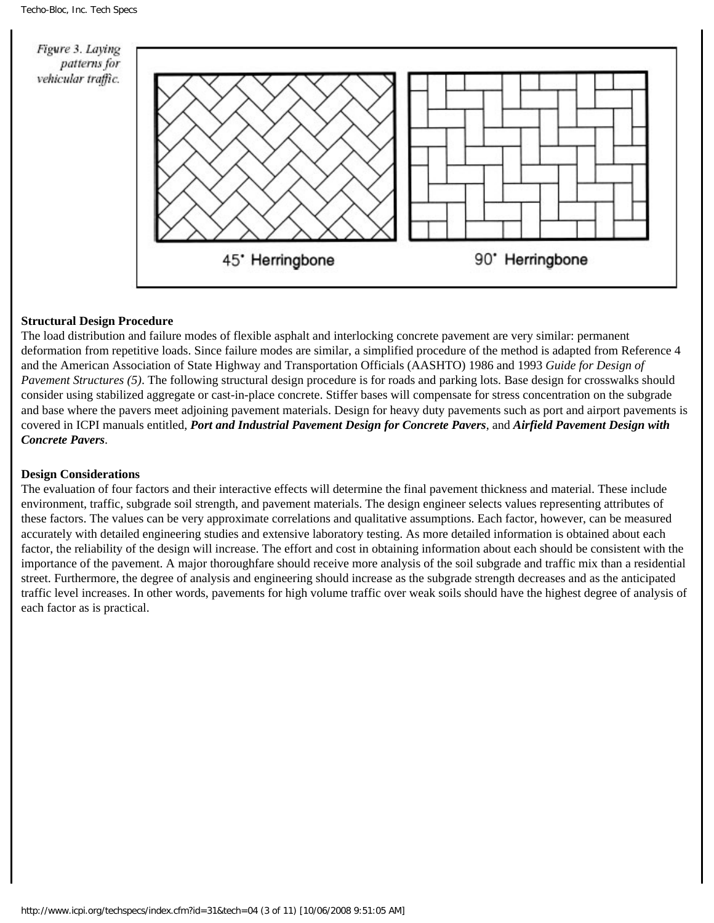

### **Structural Design Procedure**

The load distribution and failure modes of flexible asphalt and interlocking concrete pavement are very similar: permanent deformation from repetitive loads. Since failure modes are similar, a simplified procedure of the method is adapted from Reference 4 and the American Association of State Highway and Transportation Officials (AASHTO) 1986 and 1993 *Guide for Design of Pavement Structures (5)*. The following structural design procedure is for roads and parking lots. Base design for crosswalks should consider using stabilized aggregate or cast-in-place concrete. Stiffer bases will compensate for stress concentration on the subgrade and base where the pavers meet adjoining pavement materials. Design for heavy duty pavements such as port and airport pavements is covered in ICPI manuals entitled, *Port and Industrial Pavement Design for Concrete Pavers*, and *Airfield Pavement Design with Concrete Pavers*.

### **Design Considerations**

The evaluation of four factors and their interactive effects will determine the final pavement thickness and material. These include environment, traffic, subgrade soil strength, and pavement materials. The design engineer selects values representing attributes of these factors. The values can be very approximate correlations and qualitative assumptions. Each factor, however, can be measured accurately with detailed engineering studies and extensive laboratory testing. As more detailed information is obtained about each factor, the reliability of the design will increase. The effort and cost in obtaining information about each should be consistent with the importance of the pavement. A major thoroughfare should receive more analysis of the soil subgrade and traffic mix than a residential street. Furthermore, the degree of analysis and engineering should increase as the subgrade strength decreases and as the anticipated traffic level increases. In other words, pavements for high volume traffic over weak soils should have the highest degree of analysis of each factor as is practical.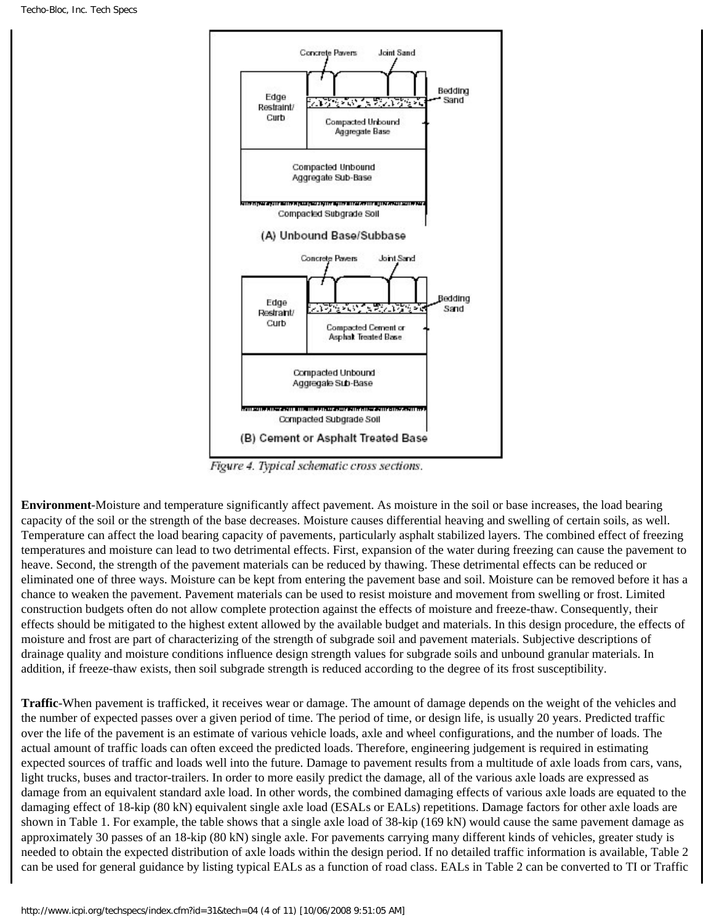

Figure 4. Typical schematic cross sections.

**Environment**-Moisture and temperature significantly affect pavement. As moisture in the soil or base increases, the load bearing capacity of the soil or the strength of the base decreases. Moisture causes differential heaving and swelling of certain soils, as well. Temperature can affect the load bearing capacity of pavements, particularly asphalt stabilized layers. The combined effect of freezing temperatures and moisture can lead to two detrimental effects. First, expansion of the water during freezing can cause the pavement to heave. Second, the strength of the pavement materials can be reduced by thawing. These detrimental effects can be reduced or eliminated one of three ways. Moisture can be kept from entering the pavement base and soil. Moisture can be removed before it has a chance to weaken the pavement. Pavement materials can be used to resist moisture and movement from swelling or frost. Limited construction budgets often do not allow complete protection against the effects of moisture and freeze-thaw. Consequently, their effects should be mitigated to the highest extent allowed by the available budget and materials. In this design procedure, the effects of moisture and frost are part of characterizing of the strength of subgrade soil and pavement materials. Subjective descriptions of drainage quality and moisture conditions influence design strength values for subgrade soils and unbound granular materials. In addition, if freeze-thaw exists, then soil subgrade strength is reduced according to the degree of its frost susceptibility.

**Traffic**-When pavement is trafficked, it receives wear or damage. The amount of damage depends on the weight of the vehicles and the number of expected passes over a given period of time. The period of time, or design life, is usually 20 years. Predicted traffic over the life of the pavement is an estimate of various vehicle loads, axle and wheel configurations, and the number of loads. The actual amount of traffic loads can often exceed the predicted loads. Therefore, engineering judgement is required in estimating expected sources of traffic and loads well into the future. Damage to pavement results from a multitude of axle loads from cars, vans, light trucks, buses and tractor-trailers. In order to more easily predict the damage, all of the various axle loads are expressed as damage from an equivalent standard axle load. In other words, the combined damaging effects of various axle loads are equated to the damaging effect of 18-kip (80 kN) equivalent single axle load (ESALs or EALs) repetitions. Damage factors for other axle loads are shown in Table 1. For example, the table shows that a single axle load of 38-kip (169 kN) would cause the same pavement damage as approximately 30 passes of an 18-kip (80 kN) single axle. For pavements carrying many different kinds of vehicles, greater study is needed to obtain the expected distribution of axle loads within the design period. If no detailed traffic information is available, Table 2 can be used for general guidance by listing typical EALs as a function of road class. EALs in Table 2 can be converted to TI or Traffic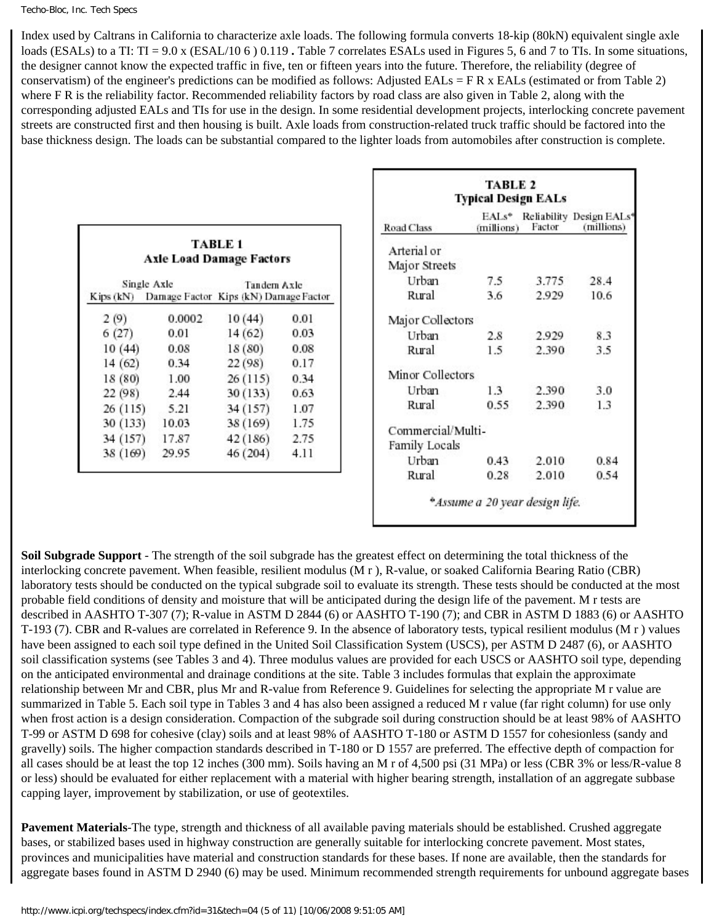#### Techo-Bloc, Inc. Tech Specs

Index used by Caltrans in California to characterize axle loads. The following formula converts 18-kip (80kN) equivalent single axle loads (ESALs) to a TI: TI = 9.0 x (ESAL/10 6) 0.119. Table 7 correlates ESALs used in Figures 5, 6 and 7 to TIs. In some situations, the designer cannot know the expected traffic in five, ten or fifteen years into the future. Therefore, the reliability (degree of conservatism) of the engineer's predictions can be modified as follows: Adjusted EALs =  $FR \times$  EALs (estimated or from Table 2) where F R is the reliability factor. Recommended reliability factors by road class are also given in Table 2, along with the corresponding adjusted EALs and TIs for use in the design. In some residential development projects, interlocking concrete pavement streets are constructed first and then housing is built. Axle loads from construction-related truck traffic should be factored into the base thickness design. The loads can be substantial compared to the lighter loads from automobiles after construction is complete.

|           |                                       |             |      |                              | <b>TABLE 2</b><br><b>Typical Design</b> |            |
|-----------|---------------------------------------|-------------|------|------------------------------|-----------------------------------------|------------|
|           |                                       |             |      | Road Class                   | $EALs^*$<br>(millions)                  | Rc)<br>– F |
|           | <b>Axle Load Damage Factors</b>       | TABLE 1     |      | Arterial or<br>Major Streets |                                         |            |
|           | Single Axle                           | Tandem Axle |      | Urban                        | 7.5                                     |            |
| Kips (kN) | Damage Factor Kips (kN) Damage Factor |             |      | Rural                        | 3.6                                     |            |
| 2(9)      | 0.0002                                | 10(44)      | 0.01 | Major Collectors             |                                         |            |
| 6(27)     | 0.01                                  | 14(62)      | 0.03 | Urban                        | 2.8                                     |            |
| 10(44)    | 0.08                                  | 18(80)      | 0.08 | Rural                        | 1.5                                     |            |
| 14(62)    | 0.34                                  | 22(98)      | 0.17 |                              |                                         |            |
| 18 (80)   | 1.00                                  | 26(115)     | 0.34 | Minor Collectors             |                                         |            |
| 22(98)    | 2.44                                  | 30 (133)    | 0.63 | Urban                        | 1.3                                     |            |
| 26(115)   | 5.21                                  | 34 (157)    | 1.07 | Rural                        | 0.55                                    |            |
| 30 (133)  | 10.03                                 | 38 (169)    | 1.75 |                              |                                         |            |
| 34 (157)  | 17.87                                 | 42(186)     | 2.75 | Commercial/Multi-            |                                         |            |
| 38 (169)  | 29.95                                 | 46 (204)    | 4.11 | Family Locals                |                                         |            |
|           |                                       |             |      | Urban                        | 0.43                                    |            |
|           |                                       |             |      | Rural                        | 0.28                                    |            |

|                   |                                | <b>Typical Design EALs</b> |                                       |  |
|-------------------|--------------------------------|----------------------------|---------------------------------------|--|
| Road Class        | $EAI.s^*$<br>(millions)        | Factor                     | Reliability Design EALs<br>(millions) |  |
| Arterial or       |                                |                            |                                       |  |
| Major Streets     |                                |                            |                                       |  |
| Urban             | 7.5                            | 3.775                      | 28.4                                  |  |
| Rural             | 3.6                            | 2.929                      | 10.6                                  |  |
| Major Collectors  |                                |                            |                                       |  |
| Urban             | 2.8                            | 2.929                      | 8.3                                   |  |
| Rural             | 1.5                            | 2.390                      | 3.5                                   |  |
| Minor Collectors  |                                |                            |                                       |  |
| Urban             | 1.3                            | 2.390                      | 3.0                                   |  |
| Rural             | 0.55                           | 2.390                      | 1.3                                   |  |
| Commercial/Multi- |                                |                            |                                       |  |
| Family Locals     |                                |                            |                                       |  |
| Urban             | 0.43                           | 2.010                      | 0.84                                  |  |
| Rural             | 0.28                           | 2.010                      | 0.54                                  |  |
|                   | *Assume a 20 year design life. |                            |                                       |  |

**Soil Subgrade Support** - The strength of the soil subgrade has the greatest effect on determining the total thickness of the interlocking concrete pavement. When feasible, resilient modulus (M r ), R-value, or soaked California Bearing Ratio (CBR) laboratory tests should be conducted on the typical subgrade soil to evaluate its strength. These tests should be conducted at the most probable field conditions of density and moisture that will be anticipated during the design life of the pavement. M r tests are described in AASHTO T-307 (7); R-value in ASTM D 2844 (6) or AASHTO T-190 (7); and CBR in ASTM D 1883 (6) or AASHTO T-193 (7). CBR and R-values are correlated in Reference 9. In the absence of laboratory tests, typical resilient modulus (M r ) values have been assigned to each soil type defined in the United Soil Classification System (USCS), per ASTM D 2487 (6), or AASHTO soil classification systems (see Tables 3 and 4). Three modulus values are provided for each USCS or AASHTO soil type, depending on the anticipated environmental and drainage conditions at the site. Table 3 includes formulas that explain the approximate relationship between Mr and CBR, plus Mr and R-value from Reference 9. Guidelines for selecting the appropriate M r value are summarized in Table 5. Each soil type in Tables 3 and 4 has also been assigned a reduced M r value (far right column) for use only when frost action is a design consideration. Compaction of the subgrade soil during construction should be at least 98% of AASHTO T-99 or ASTM D 698 for cohesive (clay) soils and at least 98% of AASHTO T-180 or ASTM D 1557 for cohesionless (sandy and gravelly) soils. The higher compaction standards described in T-180 or D 1557 are preferred. The effective depth of compaction for all cases should be at least the top 12 inches (300 mm). Soils having an M r of 4,500 psi (31 MPa) or less (CBR 3% or less/R-value 8 or less) should be evaluated for either replacement with a material with higher bearing strength, installation of an aggregate subbase capping layer, improvement by stabilization, or use of geotextiles.

**Pavement Materials**-The type, strength and thickness of all available paving materials should be established. Crushed aggregate bases, or stabilized bases used in highway construction are generally suitable for interlocking concrete pavement. Most states, provinces and municipalities have material and construction standards for these bases. If none are available, then the standards for aggregate bases found in ASTM D 2940 (6) may be used. Minimum recommended strength requirements for unbound aggregate bases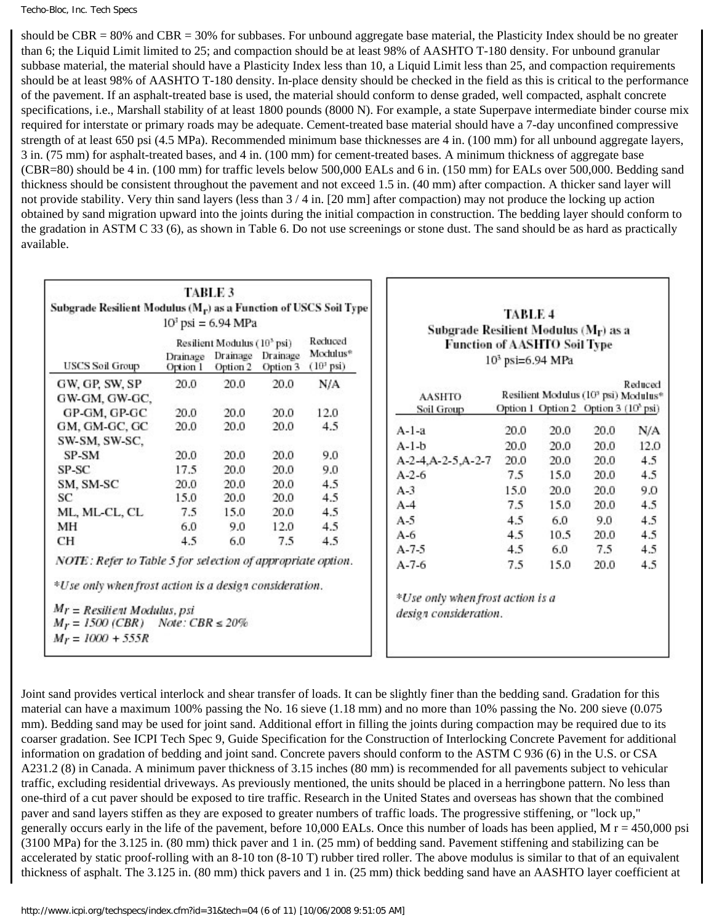should be CBR = 80% and CBR = 30% for subbases. For unbound aggregate base material, the Plasticity Index should be no greater than 6; the Liquid Limit limited to 25; and compaction should be at least 98% of AASHTO T-180 density. For unbound granular subbase material, the material should have a Plasticity Index less than 10, a Liquid Limit less than 25, and compaction requirements should be at least 98% of AASHTO T-180 density. In-place density should be checked in the field as this is critical to the performance of the pavement. If an asphalt-treated base is used, the material should conform to dense graded, well compacted, asphalt concrete specifications, i.e., Marshall stability of at least 1800 pounds (8000 N). For example, a state Superpave intermediate binder course mix required for interstate or primary roads may be adequate. Cement-treated base material should have a 7-day unconfined compressive strength of at least 650 psi (4.5 MPa). Recommended minimum base thicknesses are 4 in. (100 mm) for all unbound aggregate layers, 3 in. (75 mm) for asphalt-treated bases, and 4 in. (100 mm) for cement-treated bases. A minimum thickness of aggregate base (CBR=80) should be 4 in. (100 mm) for traffic levels below 500,000 EALs and 6 in. (150 mm) for EALs over 500,000. Bedding sand thickness should be consistent throughout the pavement and not exceed 1.5 in. (40 mm) after compaction. A thicker sand layer will not provide stability. Very thin sand layers (less than 3 / 4 in. [20 mm] after compaction) may not produce the locking up action obtained by sand migration upward into the joints during the initial compaction in construction. The bedding layer should conform to the gradation in ASTM C 33 (6), as shown in Table 6. Do not use screenings or stone dust. The sand should be as hard as practically available.

|               | Resilient Modulus (10 <sup>3</sup> psi) |                                 |                                                                                                                                  |  |
|---------------|-----------------------------------------|---------------------------------|----------------------------------------------------------------------------------------------------------------------------------|--|
| Drainage      | Drainage                                | <b>Drainage</b>                 | Modulus <sup>®</sup><br>(10 <sup>3</sup> psi)                                                                                    |  |
| 20.0          | 20.0                                    | 20.0                            | N/A                                                                                                                              |  |
|               |                                         |                                 |                                                                                                                                  |  |
| 20.0          | 20.0                                    | 20.0                            | 12.0                                                                                                                             |  |
| 20.0          | 20.0                                    | 20.0                            | 4.5                                                                                                                              |  |
|               |                                         |                                 |                                                                                                                                  |  |
| 20.0          | 20.0                                    | 20.0                            | 9.0                                                                                                                              |  |
| 17.5          | 20.0                                    | 20.0                            | 9.0                                                                                                                              |  |
|               |                                         | 20.0                            | 4.5                                                                                                                              |  |
|               |                                         |                                 | 4.5                                                                                                                              |  |
|               |                                         |                                 | 4.5                                                                                                                              |  |
| 6.0           | 9.0                                     |                                 | 4.5                                                                                                                              |  |
| $4.5^{\circ}$ | 6.0                                     | 7.5                             | 4.5                                                                                                                              |  |
|               |                                         | Option 1<br>20.0<br>15.0<br>7.5 | Option 2 Option 3<br>20.0<br>20.0<br>20.0<br>15.0<br>20.0<br>12.0<br>NOTE: Refer to Table 5 for selection of appropriate option. |  |

| Subgrade Resilient Modulus $(M_{\Gamma})$ as a<br>Function of AASHTO Soil Type | 10 <sup>3</sup> psi=6.94 MPa |        |                                                                                                      |         |
|--------------------------------------------------------------------------------|------------------------------|--------|------------------------------------------------------------------------------------------------------|---------|
| <b>AASHTO</b><br>Soil Group                                                    |                              |        | Resilient Modulus (10 <sup>3</sup> psi) Modulus*<br>Option 1 Option 2 Option 3 (10 <sup>3</sup> psi) | Reduced |
| $A-1-a$                                                                        | 20.0                         | 20.0   | 20.0                                                                                                 | N/A     |
| $A-1-b$                                                                        | 20.0                         | 20.0   | 20.0                                                                                                 | 12.0    |
| A-2-4, A-2-5, A-2-7                                                            | 20.0                         | 20.0   | 20.0                                                                                                 | 4.5     |
| $A - 2 - 6$                                                                    | 7.5                          | 15.0   | 20.0                                                                                                 | 4.5     |
| $A-3$                                                                          | 15.0                         | - 20.0 | 20.0                                                                                                 | 9.0     |
| $A-4$                                                                          | 7.5                          | 15.0   | 20.0                                                                                                 | 4.5     |
| $A-5$                                                                          | 4.5                          | 6.0    | 9.0                                                                                                  | 4.5     |
| $A-6$                                                                          | 4.5                          | 10.5   | 20.0                                                                                                 | 4.5     |
| $A - 7 - 5$                                                                    | 4.5                          | 6.0    | 7.5                                                                                                  | 4.5     |
| $A - 7 - 6$                                                                    | 7.5                          | 15.0   | 20.0                                                                                                 | 4.5     |

Joint sand provides vertical interlock and shear transfer of loads. It can be slightly finer than the bedding sand. Gradation for this material can have a maximum 100% passing the No. 16 sieve (1.18 mm) and no more than 10% passing the No. 200 sieve (0.075 mm). Bedding sand may be used for joint sand. Additional effort in filling the joints during compaction may be required due to its coarser gradation. See ICPI Tech Spec 9, Guide Specification for the Construction of Interlocking Concrete Pavement for additional information on gradation of bedding and joint sand. Concrete pavers should conform to the ASTM C 936 (6) in the U.S. or CSA A231.2 (8) in Canada. A minimum paver thickness of 3.15 inches (80 mm) is recommended for all pavements subject to vehicular traffic, excluding residential driveways. As previously mentioned, the units should be placed in a herringbone pattern. No less than one-third of a cut paver should be exposed to tire traffic. Research in the United States and overseas has shown that the combined paver and sand layers stiffen as they are exposed to greater numbers of traffic loads. The progressive stiffening, or "lock up," generally occurs early in the life of the pavement, before 10,000 EALs. Once this number of loads has been applied,  $M r = 450,000$  psi (3100 MPa) for the 3.125 in. (80 mm) thick paver and 1 in. (25 mm) of bedding sand. Pavement stiffening and stabilizing can be accelerated by static proof-rolling with an 8-10 ton (8-10 T) rubber tired roller. The above modulus is similar to that of an equivalent thickness of asphalt. The 3.125 in. (80 mm) thick pavers and 1 in. (25 mm) thick bedding sand have an AASHTO layer coefficient at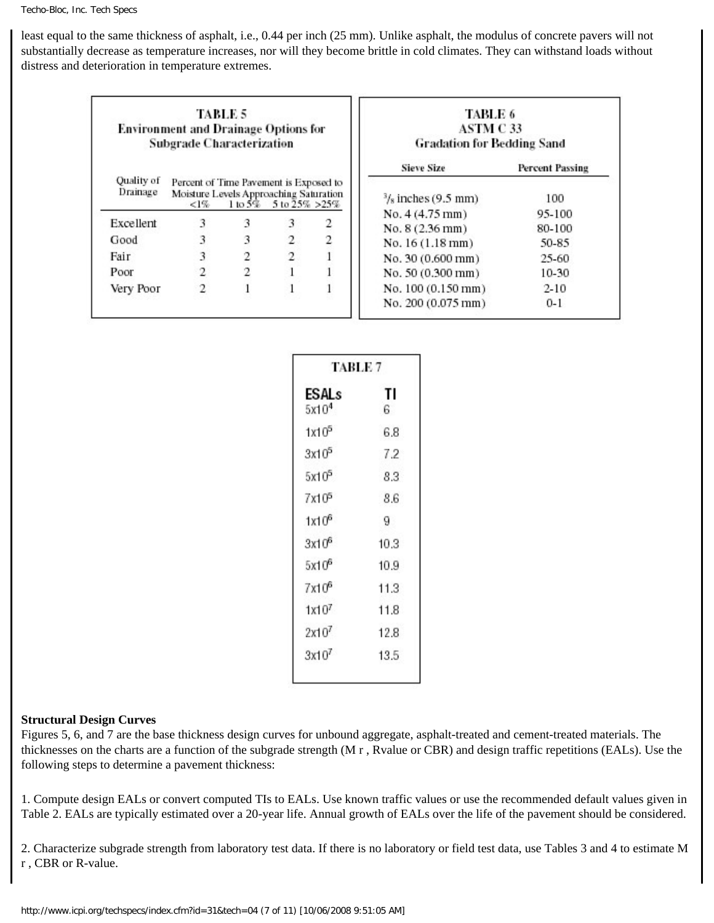least equal to the same thickness of asphalt, i.e., 0.44 per inch (25 mm). Unlike asphalt, the modulus of concrete pavers will not substantially decrease as temperature increases, nor will they become brittle in cold climates. They can withstand loads without distress and deterioration in temperature extremes.

|                        | TABLE 5<br><b>Environment and Drainage Options for</b><br><b>Subgrade Characterization</b>  |       |               |   | TABLE 6<br>ASTM C 33<br><b>Gradation for Bedding Sand</b> |                               |
|------------------------|---------------------------------------------------------------------------------------------|-------|---------------|---|-----------------------------------------------------------|-------------------------------|
| Quality of<br>Drainage | Percent of Time Pavement is Exposed to<br>Moisture Levels Approaching Saturation<br>$< 1\%$ | 1105% | 5 to 25% >25% |   | <b>Sieve Size</b><br>$\frac{3}{8}$ inches (9.5 mm)        | <b>Percent Passing</b><br>100 |
| Excellent              | 3                                                                                           | 3     | 3             | 2 | No. 4 (4.75 mm)                                           | 95-100                        |
| Good                   | 3                                                                                           | 3     | $\mathbf{2}$  | 2 | No. 8 (2.36 mm)<br>No. 16 (1.18 mm)                       | 80-100<br>50-85               |
| Fair                   | 3                                                                                           | 2     | 2             |   | No. 30 (0.600 mm)                                         | 25-60                         |
| Poor                   | 2                                                                                           | 2     |               |   | No. 50 (0.300 mm)                                         | 10-30                         |
| Very Poor              | 2                                                                                           |       |               |   | No. 100 (0.150 mm)                                        | $2 - 10$                      |
|                        |                                                                                             |       |               |   | No. 200 (0.075 mm)                                        | $0 - 1$                       |

| TABLE 7                    |          |  |  |
|----------------------------|----------|--|--|
| ESALs<br>5x10 <sup>4</sup> | TI<br>6. |  |  |
| 1x10 <sup>5</sup>          | 6.8      |  |  |
| 3x10 <sup>5</sup>          | 7.2      |  |  |
| 5x10 <sup>5</sup>          | 8.3      |  |  |
| 7x10 <sup>5</sup>          | 8.6      |  |  |
| 1x10 <sup>6</sup>          | 9.       |  |  |
| $3x10^6$                   | 10.3     |  |  |
| $5x10^6$                   | 10.9     |  |  |
| 7x10 <sup>6</sup>          | 11.3     |  |  |
| 1x10 <sup>7</sup>          | 11.8     |  |  |
| 2x10 <sup>7</sup>          | 12.8     |  |  |
| $3x10^7$                   | 13.5     |  |  |

#### **Structural Design Curves**

Figures 5, 6, and 7 are the base thickness design curves for unbound aggregate, asphalt-treated and cement-treated materials. The thicknesses on the charts are a function of the subgrade strength (M r , Rvalue or CBR) and design traffic repetitions (EALs). Use the following steps to determine a pavement thickness:

1. Compute design EALs or convert computed TIs to EALs. Use known traffic values or use the recommended default values given in Table 2. EALs are typically estimated over a 20-year life. Annual growth of EALs over the life of the pavement should be considered.

2. Characterize subgrade strength from laboratory test data. If there is no laboratory or field test data, use Tables 3 and 4 to estimate M r , CBR or R-value.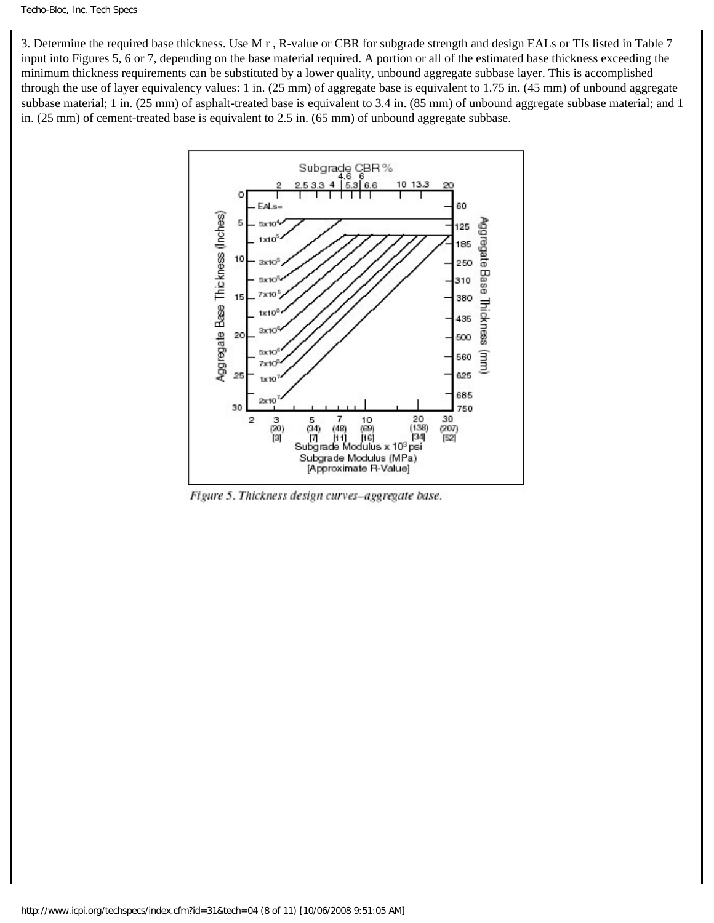3. Determine the required base thickness. Use M r , R-value or CBR for subgrade strength and design EALs or TIs listed in Table 7 input into Figures 5, 6 or 7, depending on the base material required. A portion or all of the estimated base thickness exceeding the minimum thickness requirements can be substituted by a lower quality, unbound aggregate subbase layer. This is accomplished through the use of layer equivalency values: 1 in. (25 mm) of aggregate base is equivalent to 1.75 in. (45 mm) of unbound aggregate subbase material; 1 in. (25 mm) of asphalt-treated base is equivalent to 3.4 in. (85 mm) of unbound aggregate subbase material; and 1 in. (25 mm) of cement-treated base is equivalent to 2.5 in. (65 mm) of unbound aggregate subbase.



Figure 5. Thickness design curves-aggregate base.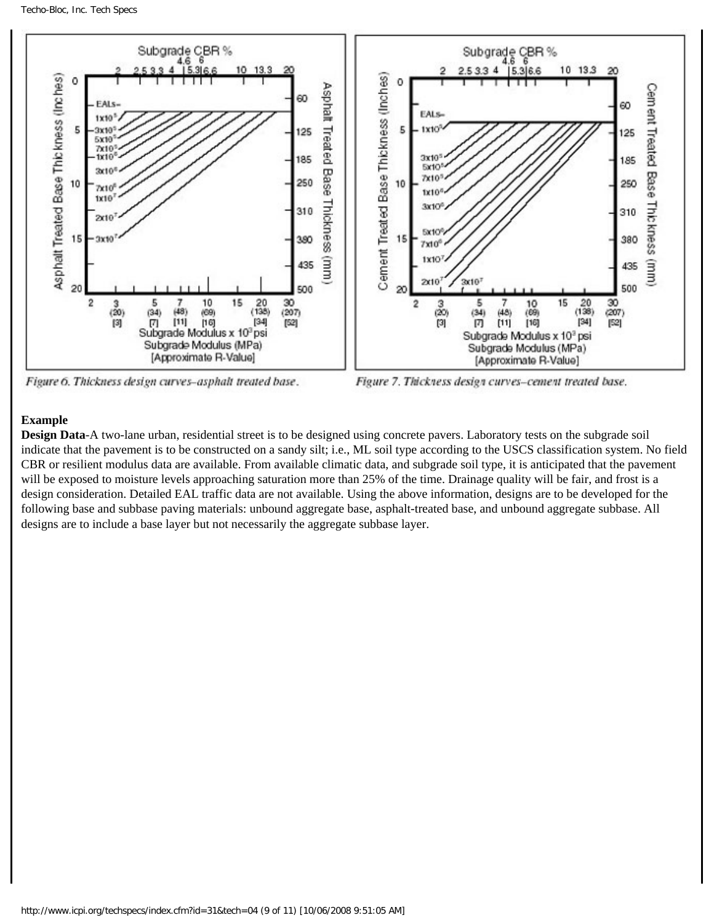

Figure 6. Thickness design curves-asphalt treated base.

Figure 7. Thickness design curves-cement treated base.

### **Example**

**Design Data**-A two-lane urban, residential street is to be designed using concrete pavers. Laboratory tests on the subgrade soil indicate that the pavement is to be constructed on a sandy silt; i.e., ML soil type according to the USCS classification system. No field CBR or resilient modulus data are available. From available climatic data, and subgrade soil type, it is anticipated that the pavement will be exposed to moisture levels approaching saturation more than 25% of the time. Drainage quality will be fair, and frost is a design consideration. Detailed EAL traffic data are not available. Using the above information, designs are to be developed for the following base and subbase paving materials: unbound aggregate base, asphalt-treated base, and unbound aggregate subbase. All designs are to include a base layer but not necessarily the aggregate subbase layer.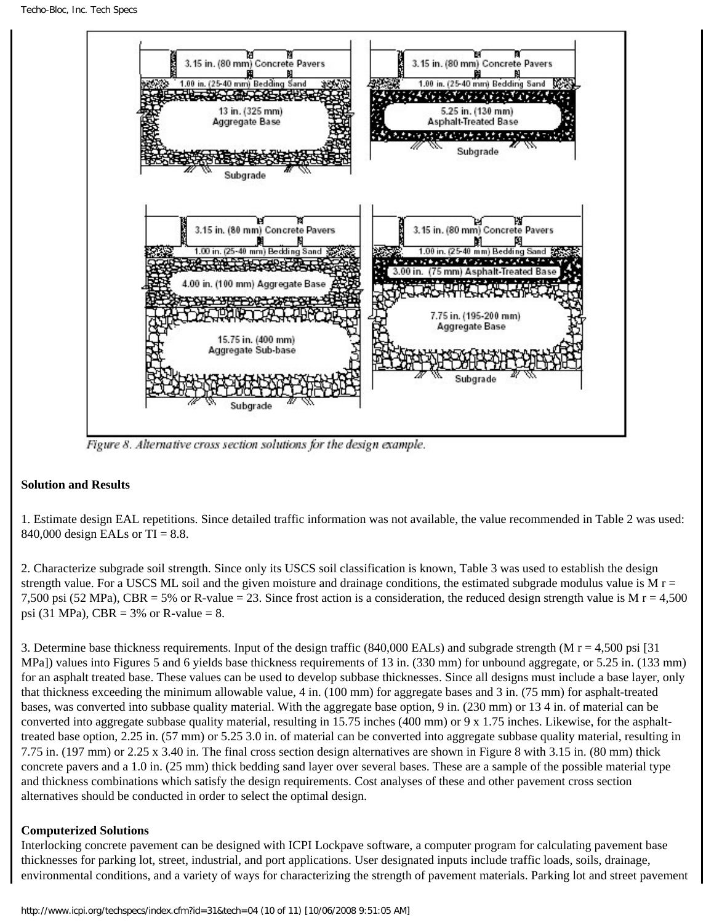

Figure 8. Alternative cross section solutions for the design example.

### **Solution and Results**

1. Estimate design EAL repetitions. Since detailed traffic information was not available, the value recommended in Table 2 was used: 840,000 design EALs or TI = 8.8.

2. Characterize subgrade soil strength. Since only its USCS soil classification is known, Table 3 was used to establish the design strength value. For a USCS ML soil and the given moisture and drainage conditions, the estimated subgrade modulus value is M  $r =$ 7,500 psi (52 MPa), CBR = 5% or R-value = 23. Since frost action is a consideration, the reduced design strength value is M  $r = 4,500$ psi (31 MPa), CBR =  $3\%$  or R-value = 8.

3. Determine base thickness requirements. Input of the design traffic (840,000 EALs) and subgrade strength (M r = 4,500 psi [31 MPa]) values into Figures 5 and 6 yields base thickness requirements of 13 in. (330 mm) for unbound aggregate, or 5.25 in. (133 mm) for an asphalt treated base. These values can be used to develop subbase thicknesses. Since all designs must include a base layer, only that thickness exceeding the minimum allowable value, 4 in. (100 mm) for aggregate bases and 3 in. (75 mm) for asphalt-treated bases, was converted into subbase quality material. With the aggregate base option, 9 in. (230 mm) or 13 4 in. of material can be converted into aggregate subbase quality material, resulting in 15.75 inches (400 mm) or 9 x 1.75 inches. Likewise, for the asphalttreated base option, 2.25 in. (57 mm) or 5.25 3.0 in. of material can be converted into aggregate subbase quality material, resulting in 7.75 in. (197 mm) or 2.25 x 3.40 in. The final cross section design alternatives are shown in Figure 8 with 3.15 in. (80 mm) thick concrete pavers and a 1.0 in. (25 mm) thick bedding sand layer over several bases. These are a sample of the possible material type and thickness combinations which satisfy the design requirements. Cost analyses of these and other pavement cross section alternatives should be conducted in order to select the optimal design.

### **Computerized Solutions**

Interlocking concrete pavement can be designed with ICPI Lockpave software, a computer program for calculating pavement base thicknesses for parking lot, street, industrial, and port applications. User designated inputs include traffic loads, soils, drainage, environmental conditions, and a variety of ways for characterizing the strength of pavement materials. Parking lot and street pavement